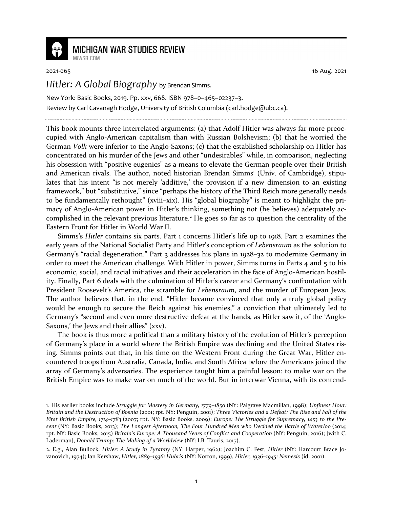

## **MICHIGAN WAR STUDIES REVIEW**

MiWSR COM

2021-065 16 Aug. 2021

*Hitler: A Global Biography* by Brendan Simms.

New York: Basic Books, 2019. Pp. xxv, 668. ISBN 978–0–465–02237–3. Review by Carl Cavanagh Hodge, University of British Columbia (carl.hodge@ubc.ca).

This book mounts three interrelated arguments: (a) that Adolf Hitler was always far more preoccupied with Anglo-American capitalism than with Russian Bolshevism; (b) that he worried the German *Volk* were inferior to the Anglo-Saxons; (c) that the established scholarship on Hitler has concentrated on his murder of the Jews and other "undesirables" while, in comparison, neglecting his obsession with "positive eugenics" as a means to elevate the German people over their British and American rivals. The author, noted historian Brendan Simms<sup>1</sup> (Univ. of Cambridge), stipulates that his intent "is not merely 'additive,' the provision if a new dimension to an existing framework," but "substitutive," since "perhaps the history of the Third Reich more generally needs to be fundamentally rethought" (xviii–xix). His "global biography" is meant to highlight the primacy of Anglo-American power in Hitler's thinking, something not (he believes) adequately accomplished in the relevant previous literature.<sup>2</sup> He goes so far as to question the centrality of the Eastern Front for Hitler in World War II.

Simms's *Hitler* contains six parts. Part 1 concerns Hitler's life up to 1918. Part 2 examines the early years of the National Socialist Party and Hitler's conception of *Lebensraum* as the solution to Germany's "racial degeneration." Part 3 addresses his plans in 1928–32 to modernize Germany in order to meet the American challenge. With Hitler in power, Simms turns in Parts 4 and  $\overline{5}$  to his economic, social, and racial initiatives and their acceleration in the face of Anglo-American hostility. Finally, Part 6 deals with the culmination of Hitler's career and Germany's confrontation with President Roosevelt's America, the scramble for *Lebensraum*, and the murder of European Jews. The author believes that, in the end, "Hitler became convinced that only a truly global policy would be enough to secure the Reich against his enemies," a conviction that ultimately led to Germany's "second and even more destructive defeat at the hands, as Hitler saw it, of the 'Anglo-Saxons,' the Jews and their allies" (xxv).

The book is thus more a political than a military history of the evolution of Hitler's perception of Germany's place in a world where the British Empire was declining and the United States rising. Simms points out that, in his time on the Western Front during the Great War, Hitler encountered troops from Australia, Canada, India, and South Africa before the Americans joined the array of Germany's adversaries. The experience taught him a painful lesson: to make war on the British Empire was to make war on much of the world. But in interwar Vienna, with its contend-

<sup>1.</sup> His earlier books include *Struggle for Mastery in Germany, 1779–1850* (NY: Palgrave Macmillan, 1998); *Unfinest Hour: Britain and the Destruction of Bosnia* (2001; rpt. NY: Penguin, 2001); *Three Victories and a Defeat: The Rise and Fall of the First British Empire, 1714–1783* (2007; rpt. NY: Basic Books, 2009); *Europe: The Struggle for Supremacy, 1453 to the Present* (NY: Basic Books, 2013); *The Longest Afternoon, The Four Hundred Men who Decided the Battle of Waterloo* (2014; rpt. NY: Basic Books, 2015) *Britain's Europe: A Thousand Years of Conflict and Cooperation* (NY: Penguin, 2016); [with C. Laderman], *Donald Trump: The Making of a Worldview* (NY: I.B. Tauris, 2017).

<sup>2.</sup> E.g., Alan Bullock, *Hitler: A Study in Tyranny* (NY: Harper, 1962); Joachim C. Fest, *Hitler* (NY: Harcourt Brace Jovanovich, 1974); Ian Kershaw, *Hitler, 1889–1936: Hubris* (NY: Norton, 1999), *Hitler, 1936–1945: Nemesis* (id. 2001).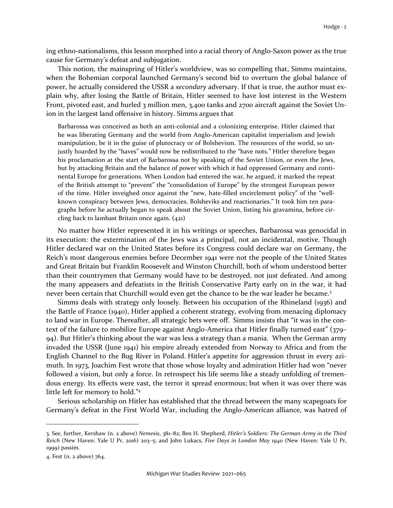ing ethno-nationalisms, this lesson morphed into a racial theory of Anglo-Saxon power as the true cause for Germany's defeat and subjugation.

This notion, the mainspring of Hitler's worldview, was so compelling that, Simms maintains, when the Bohemian corporal launched Germany's second bid to overturn the global balance of power, he actually considered the USSR a *secondary* adversary. If that is true, the author must explain why, after losing the Battle of Britain, Hitler seemed to have lost interest in the Western Front, pivoted east, and hurled 3 million men, 3,400 tanks and 2700 aircraft against the Soviet Union in the largest land offensive in history. Simms argues that

Barbarossa was conceived as both an anti-colonial and a colonizing enterprise. Hitler claimed that he was liberating Germany and the world from Anglo-American capitalist imperialism and Jewish manipulation, be it in the guise of plutocracy or of Bolshevism. The resources of the world, so unjustly hoarded by the "haves" would now be redistributed to the "have nots." Hitler therefore began his proclamation at the start of Barbarossa not by speaking of the Soviet Union, or even the Jews, but by attacking Britain and the balance of power with which it had oppressed Germany and continental Europe for generations. When London had entered the war, he argued, it marked the repeat of the British attempt to "prevent" the "consolidation of Europe" by the strongest European power of the time. Hitler inveighed once against the "new, hate-filled encirclement policy" of the "wellknown conspiracy between Jews, democracies, Bolsheviks and reactionaries." It took him ten paragraphs before he actually began to speak about the Soviet Union, listing his gravamina, before circling back to lambast Britain once again. (421)

No matter how Hitler represented it in his writings or speeches, Barbarossa was genocidal in its execution: the extermination of the Jews was a principal, not an incidental, motive. Though Hitler declared war on the United States before its Congress could declare war on Germany, the Reich's most dangerous enemies before December 1941 were not the people of the United States and Great Britain but Franklin Roosevelt and Winston Churchill, both of whom understood better than their countrymen that Germany would have to be destroyed, not just defeated. And among the many appeasers and defeatists in the British Conservative Party early on in the war, it had never been certain that Churchill would even get the chance to be the war leader he became.<sup>3</sup>

Simms deals with strategy only loosely. Between his occupation of the Rhineland (1936) and the Battle of France (1940), Hitler applied a coherent strategy, evolving from menacing diplomacy to land war in Europe. Thereafter, all strategic bets were off. Simms insists that "it was in the context of the failure to mobilize Europe against Anglo-America that Hitler finally turned east" (379– 94). But Hitler's thinking about the war was less a strategy than a mania. When the German army invaded the USSR (June 1941) his empire already extended from Norway to Africa and from the English Channel to the Bug River in Poland. Hitler's appetite for aggression thrust in every azimuth. In 1973, Joachim Fest wrote that those whose loyalty and admiration Hitler had won "never followed a vision, but only a force. In retrospect his life seems like a steady unfolding of tremendous energy. Its effects were vast, the terror it spread enormous; but when it was over there was little left for memory to hold."<sup>4</sup>

Serious scholarship on Hitler has established that the thread between the many scapegoats for Germany's defeat in the First World War, including the Anglo-American alliance, was hatred of

<sup>3.</sup> See, further, Kershaw (n. 2 above) *Nemesis*, 381–82; Ben H. Shepherd, *Hitler's Soldiers: The German Army in the Third Reich* (New Haven: Yale U Pr, 2016) 203–5; and John Lukacs, *Five Days in London May 1940* (New Haven: Yale U Pr, 1999) passim.

<sup>4.</sup> Fest (n. 2 above) 764.